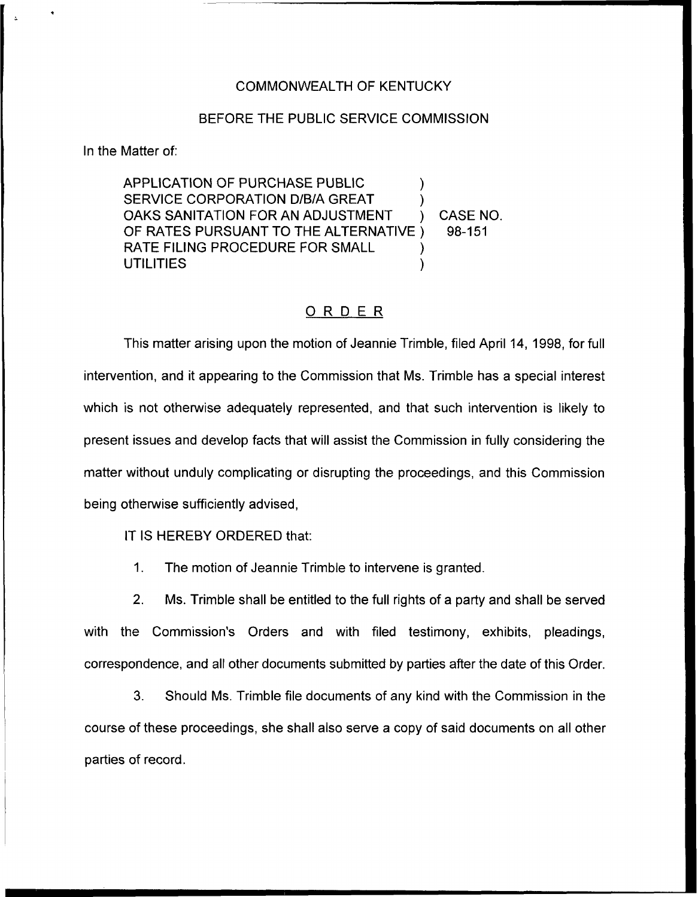## COMMONWEALTH OF KENTUCKY

## BEFORE THE PUBLIC SERVICE COMMISSION

In the Matter of:

APPLICATION OF PURCHASE PUBLIC SERVICE CORPORATION D/B/A GREAT OAKS SANITATION FOR AN ADJUSTMENT (CASE NO.<br>OF RATES PURSUANT TO THE ALTERNATIVE (698-151) OF RATES PURSUANT TO THE ALTERNATIVE ) RATE FILING PROCEDURE FOR SMALL **UTILITIES** 

## ORDER

This matter arising upon the motion of Jeannie Trimble, filed April 14, 1998, for full intervention, and it appearing to the Commission that Ms. Trimble has a special interest which is not otherwise adequately represented, and that such intervention is likely to present issues and develop facts that will assist the Commission in fully considering the matter without unduly complicating or disrupting the proceedings, and this Commission being otherwise sufficiently advised,

IT IS HEREBY ORDERED that:

1. The motion of Jeannie Trimble to intervene is granted.

2. Ms. Trimble shall be entitled to the full rights of a party and shall be served with the Commission's Orders and with filed testimony, exhibits, pleadings, correspondence, and all other documents submitted by parties after the date of this Order.

3. Should Ms. Trimble file documents of any kind with the Commission in the course of these proceedings, she shall also serve a copy of said documents on all other parties of record.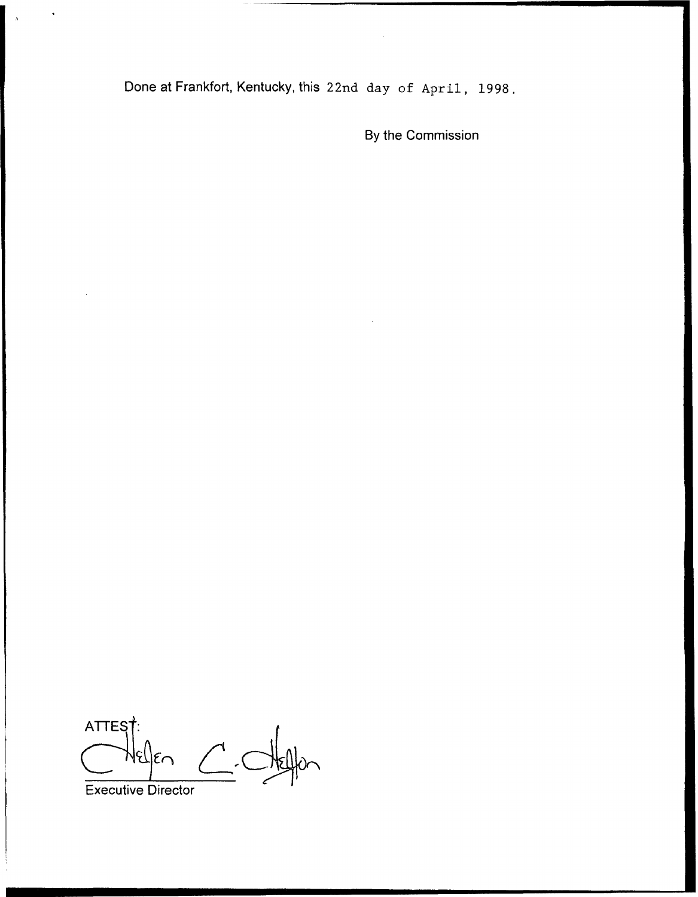Done at Frankfort, Kentucky, this 22nd day of April, 1998.

By the Commission

ATTEST:<br>Executive Director ATTES<sub>1</sub>  $N$ el $|\epsilon$ n